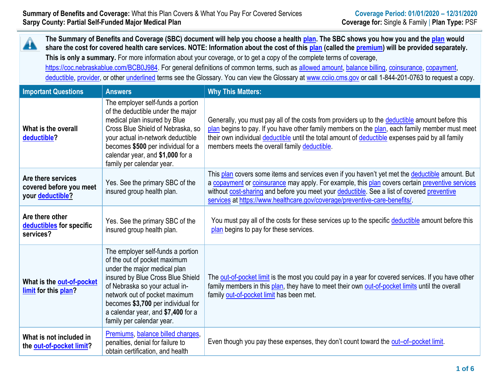| The Summary of Benefits and Coverage (SBC) document will help you choose a health plan. The SBC shows you how you and the plan would<br>4<br>share the cost for covered health care services. NOTE: Information about the cost of this plan (called the premium) will be provided separately.<br>This is only a summary. For more information about your coverage, or to get a copy of the complete terms of coverage,<br>https://coc.nebraskablue.com/BCB0J984. For general definitions of common terms, such as allowed amount, balance billing, coinsurance, copayment,<br>deductible, provider, or other underlined terms see the Glossary. You can view the Glossary at www.ccijo.cms.gov or call 1-844-201-0763 to request a copy. |                                                                                                                                                                                                                                                                                                                    |                                                                                                                                                                                                                                                                                                                                                                                |  |
|------------------------------------------------------------------------------------------------------------------------------------------------------------------------------------------------------------------------------------------------------------------------------------------------------------------------------------------------------------------------------------------------------------------------------------------------------------------------------------------------------------------------------------------------------------------------------------------------------------------------------------------------------------------------------------------------------------------------------------------|--------------------------------------------------------------------------------------------------------------------------------------------------------------------------------------------------------------------------------------------------------------------------------------------------------------------|--------------------------------------------------------------------------------------------------------------------------------------------------------------------------------------------------------------------------------------------------------------------------------------------------------------------------------------------------------------------------------|--|
| <b>Important Questions</b>                                                                                                                                                                                                                                                                                                                                                                                                                                                                                                                                                                                                                                                                                                               | <b>Answers</b>                                                                                                                                                                                                                                                                                                     | <b>Why This Matters:</b>                                                                                                                                                                                                                                                                                                                                                       |  |
| What is the overall<br>deductible?                                                                                                                                                                                                                                                                                                                                                                                                                                                                                                                                                                                                                                                                                                       | The employer self-funds a portion<br>of the deductible under the major<br>medical plan insured by Blue<br>Cross Blue Shield of Nebraska, so<br>your actual in-network deductible<br>becomes \$500 per individual for a<br>calendar year, and \$1,000 for a<br>family per calendar year.                            | Generally, you must pay all of the costs from providers up to the deductible amount before this<br>plan begins to pay. If you have other family members on the plan, each family member must meet<br>their own individual deductible until the total amount of deductible expenses paid by all family<br>members meets the overall family deductible.                          |  |
| Are there services<br>covered before you meet<br>your deductible?                                                                                                                                                                                                                                                                                                                                                                                                                                                                                                                                                                                                                                                                        | Yes. See the primary SBC of the<br>insured group health plan.                                                                                                                                                                                                                                                      | This plan covers some items and services even if you haven't yet met the deductible amount. But<br>a copayment or coinsurance may apply. For example, this plan covers certain preventive services<br>without cost-sharing and before you meet your deductible. See a list of covered preventive<br>services at https://www.healthcare.gov/coverage/preventive-care-benefits/. |  |
| Are there other<br>deductibles for specific<br>services?                                                                                                                                                                                                                                                                                                                                                                                                                                                                                                                                                                                                                                                                                 | Yes. See the primary SBC of the<br>insured group health plan.                                                                                                                                                                                                                                                      | You must pay all of the costs for these services up to the specific deductible amount before this<br>plan begins to pay for these services.                                                                                                                                                                                                                                    |  |
| What is the out-of-pocket<br>limit for this plan?                                                                                                                                                                                                                                                                                                                                                                                                                                                                                                                                                                                                                                                                                        | The employer self-funds a portion<br>of the out of pocket maximum<br>under the major medical plan<br>insured by Blue Cross Blue Shield<br>of Nebraska so your actual in-<br>network out of pocket maximum<br>becomes \$3,700 per individual for<br>a calendar year, and \$7,400 for a<br>family per calendar year. | The out-of-pocket limit is the most you could pay in a year for covered services. If you have other<br>family members in this plan, they have to meet their own out-of-pocket limits until the overall<br>family out-of-pocket limit has been met.                                                                                                                             |  |
| What is not included in<br>the out-of-pocket limit?                                                                                                                                                                                                                                                                                                                                                                                                                                                                                                                                                                                                                                                                                      | Premiums, balance billed charges,<br>penalties, denial for failure to<br>obtain certification, and health                                                                                                                                                                                                          | Even though you pay these expenses, they don't count toward the out-of-pocket limit.                                                                                                                                                                                                                                                                                           |  |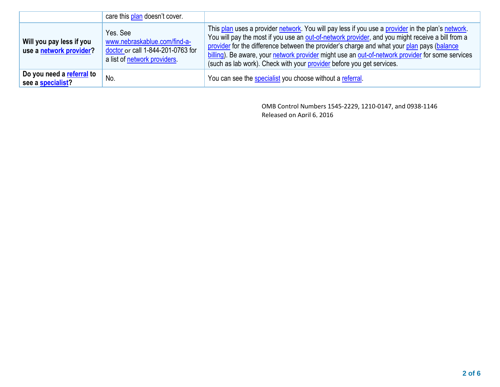|                                                     | care this plan doesn't cover.                                                                                 |                                                                                                                                                                                                                                                                                                                                                                                                                                                                                  |
|-----------------------------------------------------|---------------------------------------------------------------------------------------------------------------|----------------------------------------------------------------------------------------------------------------------------------------------------------------------------------------------------------------------------------------------------------------------------------------------------------------------------------------------------------------------------------------------------------------------------------------------------------------------------------|
| Will you pay less if you<br>use a network provider? | Yes. See<br>www.nebraskablue.com/find-a-<br>doctor or call 1-844-201-0763 for<br>a list of network providers. | This plan uses a provider network. You will pay less if you use a provider in the plan's network.<br>You will pay the most if you use an out-of-network provider, and you might receive a bill from a<br>provider for the difference between the provider's charge and what your plan pays (balance<br>billing). Be aware, your network provider might use an out-of-network provider for some services<br>(such as lab work). Check with your provider before you get services. |
| Do you need a referral to<br>see a specialist?      | No.                                                                                                           | You can see the specialist you choose without a referral.                                                                                                                                                                                                                                                                                                                                                                                                                        |

OMB Control Numbers 1545-2229, 1210-0147, and 0938-1146 Released on April 6, 2016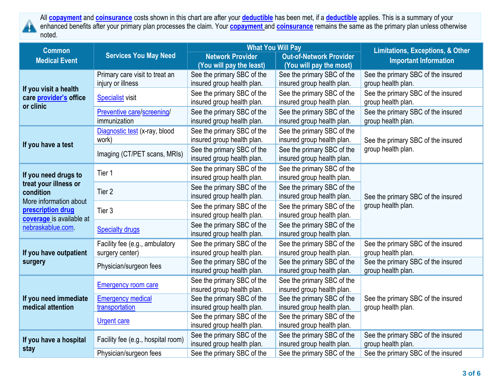

All **[copayment](https://www.healthcare.gov/sbc-glossary/#copayment)** and **[coinsurance](https://www.healthcare.gov/sbc-glossary/#coinsurance)** costs shown in this chart are after your **[deductible](https://www.healthcare.gov/sbc-glossary/#deductible)** has been met, if a **[deductible](https://www.healthcare.gov/sbc-glossary/#deductible)** applies. This is a summary of your enhanced benefits after your primary plan processes the claim. Your **[copayment](https://www.healthcare.gov/sbc-glossary/#copayment)** and **[coinsurance](https://www.healthcare.gov/sbc-glossary/#coinsurance)** remains the same as the primary plan unless otherwise noted.

| <b>Common</b>                                   |                                    | <b>What You Will Pay</b>   |                                | <b>Limitations, Exceptions, &amp; Other</b> |  |
|-------------------------------------------------|------------------------------------|----------------------------|--------------------------------|---------------------------------------------|--|
| <b>Medical Event</b>                            | <b>Services You May Need</b>       | <b>Network Provider</b>    | <b>Out-of-Network Provider</b> | <b>Important Information</b>                |  |
|                                                 |                                    | (You will pay the least)   | (You will pay the most)        |                                             |  |
| If you visit a health<br>care provider's office | Primary care visit to treat an     | See the primary SBC of the | See the primary SBC of the     | See the primary SBC of the insured          |  |
|                                                 | injury or illness                  | insured group health plan. | insured group health plan.     | group health plan.                          |  |
|                                                 | <b>Specialist visit</b>            | See the primary SBC of the | See the primary SBC of the     | See the primary SBC of the insured          |  |
| or clinic                                       |                                    | insured group health plan. | insured group health plan.     | group health plan.                          |  |
|                                                 | Preventive care/screening/         | See the primary SBC of the | See the primary SBC of the     | See the primary SBC of the insured          |  |
|                                                 | immunization                       | insured group health plan. | insured group health plan.     | group health plan.                          |  |
|                                                 | Diagnostic test (x-ray, blood      | See the primary SBC of the | See the primary SBC of the     |                                             |  |
|                                                 | work)                              | insured group health plan. | insured group health plan.     | See the primary SBC of the insured          |  |
| If you have a test                              |                                    | See the primary SBC of the | See the primary SBC of the     | group health plan.                          |  |
|                                                 | Imaging (CT/PET scans, MRIs)       | insured group health plan. | insured group health plan.     |                                             |  |
|                                                 | Tier 1                             | See the primary SBC of the | See the primary SBC of the     |                                             |  |
| If you need drugs to                            |                                    | insured group health plan. | insured group health plan.     |                                             |  |
| treat your illness or                           | Tier 2                             | See the primary SBC of the | See the primary SBC of the     |                                             |  |
| condition                                       |                                    | insured group health plan. | insured group health plan.     | See the primary SBC of the insured          |  |
| More information about                          |                                    | See the primary SBC of the | See the primary SBC of the     | group health plan.                          |  |
| prescription drug<br>coverage is available at   | Tier 3                             | insured group health plan. | insured group health plan.     |                                             |  |
| nebraskablue.com                                |                                    | See the primary SBC of the | See the primary SBC of the     |                                             |  |
|                                                 | <b>Specialty drugs</b>             | insured group health plan. | insured group health plan.     |                                             |  |
|                                                 | Facility fee (e.g., ambulatory     | See the primary SBC of the | See the primary SBC of the     | See the primary SBC of the insured          |  |
| If you have outpatient                          | surgery center)                    | insured group health plan. | insured group health plan.     | group health plan.                          |  |
| surgery                                         |                                    | See the primary SBC of the | See the primary SBC of the     | See the primary SBC of the insured          |  |
|                                                 | Physician/surgeon fees             | insured group health plan. | insured group health plan.     | group health plan.                          |  |
| If you need immediate                           | <b>Emergency room care</b>         | See the primary SBC of the | See the primary SBC of the     |                                             |  |
|                                                 |                                    | insured group health plan. | insured group health plan.     |                                             |  |
|                                                 | <b>Emergency medical</b>           | See the primary SBC of the | See the primary SBC of the     | See the primary SBC of the insured          |  |
| medical attention                               | transportation                     | insured group health plan. | insured group health plan.     | group health plan.                          |  |
|                                                 | <b>Urgent care</b>                 | See the primary SBC of the | See the primary SBC of the     |                                             |  |
|                                                 |                                    | insured group health plan. | insured group health plan.     |                                             |  |
| If you have a hospital<br>stay                  | Facility fee (e.g., hospital room) | See the primary SBC of the | See the primary SBC of the     | See the primary SBC of the insured          |  |
|                                                 |                                    | insured group health plan. | insured group health plan.     | group health plan.                          |  |
|                                                 | Physician/surgeon fees             | See the primary SBC of the | See the primary SBC of the     | See the primary SBC of the insured          |  |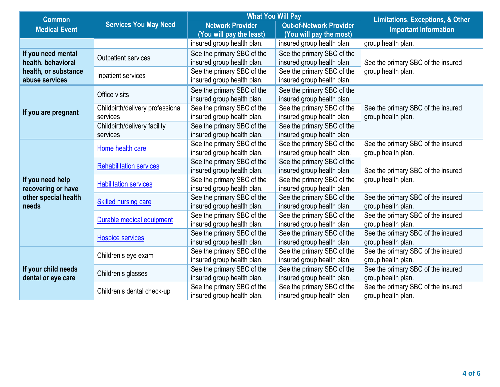| <b>Common</b>                             |                                  | <b>What You Will Pay</b>   |                                | <b>Limitations, Exceptions, &amp; Other</b> |
|-------------------------------------------|----------------------------------|----------------------------|--------------------------------|---------------------------------------------|
| <b>Medical Event</b>                      | <b>Services You May Need</b>     | <b>Network Provider</b>    | <b>Out-of-Network Provider</b> | <b>Important Information</b>                |
|                                           |                                  | (You will pay the least)   | (You will pay the most)        |                                             |
|                                           |                                  | insured group health plan. | insured group health plan.     | group health plan.                          |
| If you need mental                        |                                  | See the primary SBC of the | See the primary SBC of the     |                                             |
| health, behavioral                        | <b>Outpatient services</b>       | insured group health plan. | insured group health plan.     | See the primary SBC of the insured          |
| health, or substance                      |                                  | See the primary SBC of the | See the primary SBC of the     | group health plan.                          |
| abuse services                            | Inpatient services               | insured group health plan. | insured group health plan.     |                                             |
|                                           |                                  | See the primary SBC of the | See the primary SBC of the     |                                             |
|                                           | Office visits                    | insured group health plan. | insured group health plan.     |                                             |
|                                           | Childbirth/delivery professional | See the primary SBC of the | See the primary SBC of the     | See the primary SBC of the insured          |
| If you are pregnant                       | services                         | insured group health plan. | insured group health plan.     | group health plan.                          |
|                                           | Childbirth/delivery facility     | See the primary SBC of the | See the primary SBC of the     |                                             |
|                                           | services                         | insured group health plan. | insured group health plan.     |                                             |
|                                           | Home health care                 | See the primary SBC of the | See the primary SBC of the     | See the primary SBC of the insured          |
|                                           |                                  | insured group health plan. | insured group health plan.     | group health plan.                          |
|                                           | <b>Rehabilitation services</b>   | See the primary SBC of the | See the primary SBC of the     |                                             |
|                                           |                                  | insured group health plan. | insured group health plan.     | See the primary SBC of the insured          |
| If you need help                          | <b>Habilitation services</b>     | See the primary SBC of the | See the primary SBC of the     | group health plan.                          |
| recovering or have                        |                                  | insured group health plan. | insured group health plan.     |                                             |
| other special health                      | Skilled nursing care             | See the primary SBC of the | See the primary SBC of the     | See the primary SBC of the insured          |
| needs                                     |                                  | insured group health plan. | insured group health plan.     | group health plan.                          |
|                                           | Durable medical equipment        | See the primary SBC of the | See the primary SBC of the     | See the primary SBC of the insured          |
|                                           |                                  | insured group health plan. | insured group health plan.     | group health plan.                          |
|                                           | <b>Hospice services</b>          | See the primary SBC of the | See the primary SBC of the     | See the primary SBC of the insured          |
|                                           |                                  | insured group health plan. | insured group health plan.     | group health plan.                          |
|                                           | Children's eye exam              | See the primary SBC of the | See the primary SBC of the     | See the primary SBC of the insured          |
|                                           |                                  | insured group health plan. | insured group health plan.     | group health plan.                          |
| If your child needs<br>dental or eye care | Children's glasses               | See the primary SBC of the | See the primary SBC of the     | See the primary SBC of the insured          |
|                                           |                                  | insured group health plan. | insured group health plan.     | group health plan.                          |
|                                           | Children's dental check-up       | See the primary SBC of the | See the primary SBC of the     | See the primary SBC of the insured          |
|                                           |                                  | insured group health plan. | insured group health plan.     | group health plan.                          |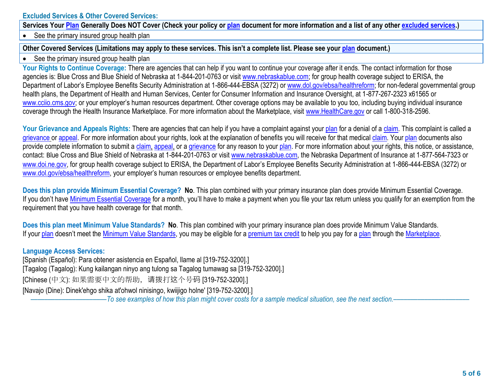## **Excluded Services & Other Covered Services:**

**Services Your [Plan](https://www.healthcare.gov/sbc-glossary/#plan) Generally Does NOT Cover (Check your policy or [plan](https://www.healthcare.gov/sbc-glossary/#plan) document for more information and a list of any other [excluded](https://www.healthcare.gov/sbc-glossary/#excluded-services) services.)**

• See the primary insured group health plan

## **Other Covered Services (Limitations may apply to these services. This isn't a complete list. Please see your [plan](https://www.healthcare.gov/sbc-glossary/#plan) document.)**

• See the primary insured group health plan

Your Rights to Continue Coverage: There are agencies that can help if you want to continue your coverage after it ends. The contact information for those agencies is: Blue Cross and Blue Shield of Nebraska at 1-844-201-0763 or visit www.nebraskablue.com; for group health coverage subject to ERISA, the Department of Labor's Employee Benefits Security Administration at 1-866-444-EBSA (3272) or www.dol.gov/ebsa/healthreform; for non-federal governmental group health plans, the Department of Health and Human Services, Center for Consumer Information and Insurance Oversight, at 1-877-267-2323 x61565 or www.cciio.cms.gov; or your employer's human resources department. Other coverage options may be available to you too, including buying individual insurance coverage through the Health Insurance Marketplace. For more information about the Marketplace, visit www.HealthCare.gov or call 1-800-318-2596.

Your Grievance and Appeals Rights: There are agencies that can help if you have a complaint against you[r plan](https://www.healthcare.gov/sbc-glossary/#plan) for a denial of a [claim.](https://www.healthcare.gov/sbc-glossary/#claim) This complaint is called a [grievance](https://www.healthcare.gov/sbc-glossary/#grievance) or [appeal.](https://www.healthcare.gov/sbc-glossary/#appeal) For more information about your rights, look at the explanation of benefits you will receive for that medica[l claim.](https://www.healthcare.gov/sbc-glossary/#claim) Your [plan](https://www.healthcare.gov/sbc-glossary/#plan) documents also provide complete information to submit a [claim,](https://www.healthcare.gov/sbc-glossary/#claim) [appeal,](https://www.healthcare.gov/sbc-glossary/#appeal) or a [grievance](https://www.healthcare.gov/sbc-glossary/#grievance) for any reason to your [plan.](https://www.healthcare.gov/sbc-glossary/#plan) For more information about your rights, this notice, or assistance, contact: Blue Cross and Blue Shield of Nebraska at 1-844-201-0763 or visit www.nebraskablue.com, the Nebraska Department of Insurance at 1-877-564-7323 or www.doi.ne.gov, for group health coverage subject to ERISA, the Department of Labor's Employee Benefits Security Administration at 1-866-444-EBSA (3272) or www.dol.gov/ebsa/healthreform, your employer's human resources or employee benefits department.

**Does this plan provide Minimum Essential Coverage? No**. This plan combined with your primary insurance plan does provide Minimum Essential Coverage. If you don't have [Minimum Essential Coverage](https://www.healthcare.gov/sbc-glossary/#minimum-essential-coverage) for a month, you'll have to make a payment when you file your tax return unless you qualify for an exemption from the requirement that you have health coverage for that month.

**Does this plan meet Minimum Value Standards? No**. This plan combined with your primary insurance plan does provide Minimum Value Standards. If your [plan](https://www.healthcare.gov/sbc-glossary/#plan) doesn't meet the [Minimum Value Standards,](https://www.healthcare.gov/sbc-glossary/#minimum-value-standard) you may be eligible for a [premium tax credit](https://www.healthcare.gov/sbc-glossary/#premium-tax-credits) to help you pay for a plan through the [Marketplace.](https://www.healthcare.gov/sbc-glossary/#marketplace)

## **Language Access Services:**

[Spanish (Español): Para obtener asistencia en Español, llame al [319-752-3200].] [Tagalog (Tagalog): Kung kailangan ninyo ang tulong sa Tagalog tumawag sa [319-752-3200].] [Chinese (中文): 如果需要中文的帮助, 请拨打这个号码 [319-752-3200].] [Navajo (Dine): Dinek'ehgo shika at'ohwol ninisingo, kwiijigo holne' [319-752-3200].] ––––––––––––––––––––––*To see examples of how this plan might cover costs for a sample medical situation, see the next section.–––––––––––*–––––––––––